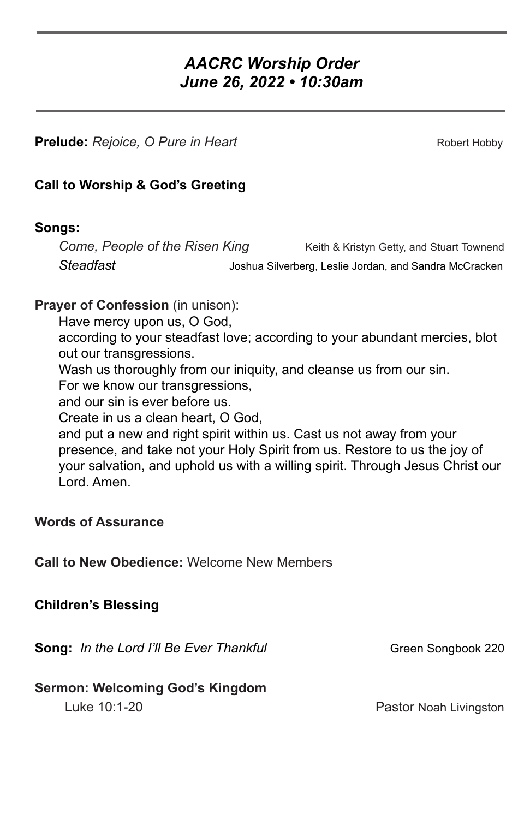# *AACRC Worship Order June 26, 2022 • 10:30am*

**Prelude:** *Rejoice, O Pure in Heart* **Robert Hobby** Robert Hobby

### **Call to Worship & God's Greeting**

#### **Songs:**

*Come, People of the Risen King* Keith & Kristyn Getty, and Stuart Townend *Steadfast* Joshua Silverberg, Leslie Jordan, and Sandra McCracken

### **Prayer of Confession** (in unison):

Have mercy upon us, O God,

according to your steadfast love; according to your abundant mercies, blot out our transgressions.

Wash us thoroughly from our iniquity, and cleanse us from our sin.

For we know our transgressions,

and our sin is ever before us.

Create in us a clean heart, O God,

and put a new and right spirit within us. Cast us not away from your presence, and take not your Holy Spirit from us. Restore to us the joy of your salvation, and uphold us with a willing spirit. Through Jesus Christ our Lord. Amen.

# **Words of Assurance**

**Call to New Obedience:** Welcome New Members

# **Children's Blessing**

**Song:** *In the Lord I'll Be Ever Thankful* Green Songbook 220

# **Sermon: Welcoming God's Kingdom**

Luke 10:1-20 **Pastor Noah Livingston**